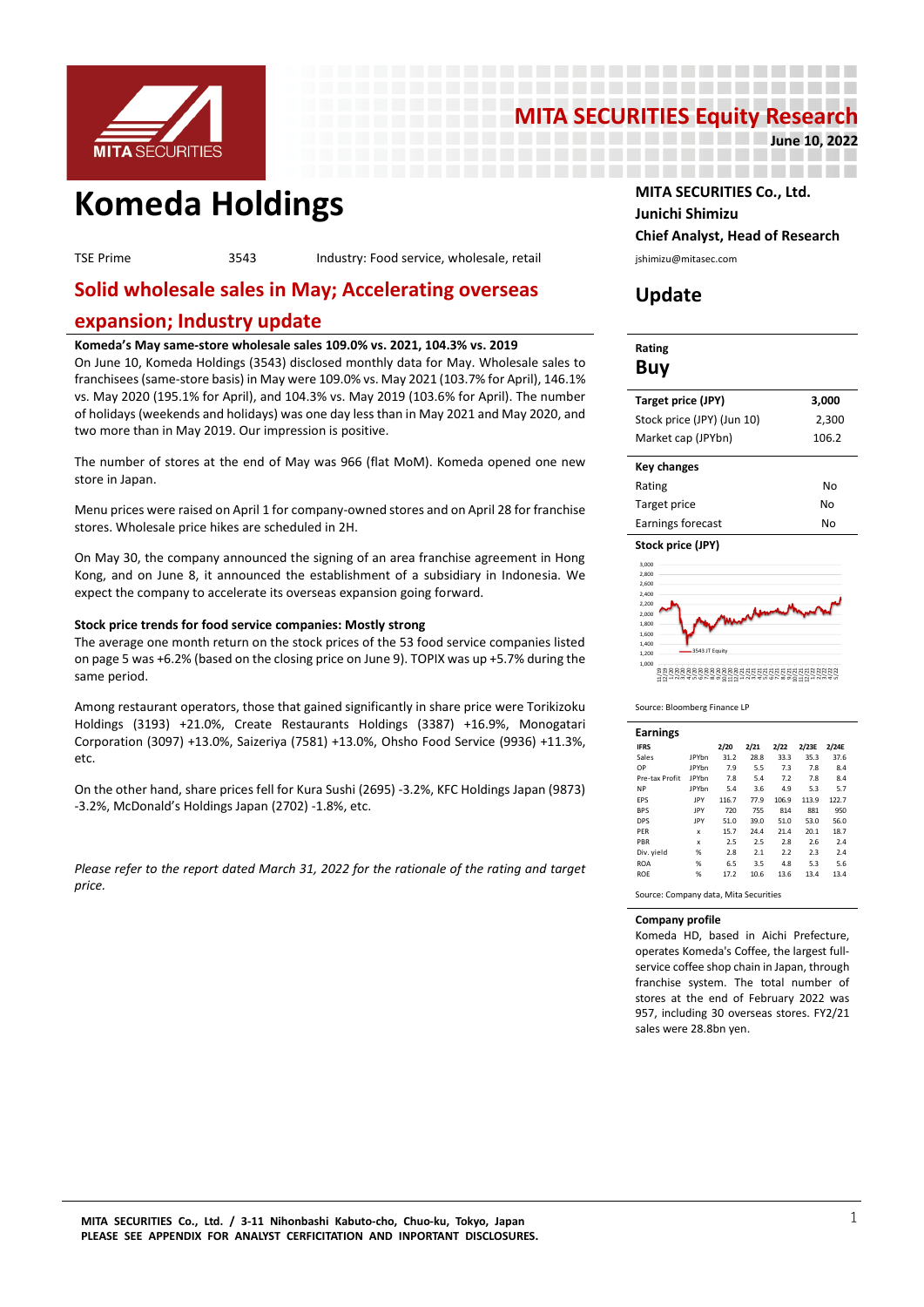

# **MITA SECURITIES Equity Research**

----------------------------------------

**June 10, 2022**

# **Komeda Holdings MITA SECURITIES Co., Ltd.**

TSE Prime 3543 Industry: Food service, wholesale, retail interval ishimizu@mitasec.com

# **Solid wholesale sales in May; Accelerating overseas**

## **expansion; Industry update**

#### **Komeda's May same-store wholesale sales 109.0% vs. 2021, 104.3% vs. 2019**

On June 10, Komeda Holdings (3543) disclosed monthly data for May. Wholesale sales to franchisees (same-store basis) in May were 109.0% vs. May 2021 (103.7% for April), 146.1% vs. May 2020 (195.1% for April), and 104.3% vs. May 2019 (103.6% for April). The number of holidays (weekends and holidays) was one day less than in May 2021 and May 2020, and two more than in May 2019. Our impression is positive.

The number of stores at the end of May was 966 (flat MoM). Komeda opened one new store in Japan.

Menu prices were raised on April 1 for company-owned stores and on April 28 for franchise stores. Wholesale price hikes are scheduled in 2H.

On May 30, the company announced the signing of an area franchise agreement in Hong Kong, and on June 8, it announced the establishment of a subsidiary in Indonesia. We expect the company to accelerate its overseas expansion going forward.

#### **Stock price trends for food service companies: Mostly strong**

The average one month return on the stock prices of the 53 food service companies listed on page 5 was +6.2% (based on the closing price on June 9). TOPIX was up +5.7% during the same period.

Among restaurant operators, those that gained significantly in share price were Torikizoku Holdings (3193) +21.0%, Create Restaurants Holdings (3387) +16.9%, Monogatari Corporation (3097) +13.0%, Saizeriya (7581) +13.0%, Ohsho Food Service (9936) +11.3%, etc.

On the other hand, share prices fell for Kura Sushi (2695) -3.2%, KFC Holdings Japan (9873) -3.2%, McDonald's Holdings Japan (2702) -1.8%, etc.

*Please refer to the report dated March 31, 2022 for the rationale of the rating and target price.*

# **Junichi Shimizu Chief Analyst, Head of Research**

# **Update**

\_\_\_\_\_\_\_\_\_\_\_\_\_\_\_\_\_\_\_\_\_

## **Rating Buy**

| Target price (JPY)         | 3.000 |
|----------------------------|-------|
| Stock price (JPY) (Jun 10) | 2.300 |
| Market cap (JPYbn)         | 106.2 |
| <b>Key changes</b>         |       |
| Rating                     | No    |
| Target price               | N۸    |

| Target price      | No |
|-------------------|----|
| Earnings forecast | No |
|                   |    |



Source: Bloomberg Finance LP

3543 JT Equity

1,000

| <b>Earnings</b> |              |       |      |       |       |       |
|-----------------|--------------|-------|------|-------|-------|-------|
| <b>IFRS</b>     |              | 2/20  | 2/21 | 2/22  | 2/23E | 2/24E |
| Sales           | <b>IPYhn</b> | 31.2  | 28.8 | 33.3  | 35.3  | 37.6  |
| OP              | <b>IPYhn</b> | 7.9   | 5.5  | 7.3   | 7.8   | 8.4   |
| Pre-tax Profit  | <b>IPYhn</b> | 7.8   | 5.4  | 7.2   | 7.8   | 8.4   |
| <b>NP</b>       | <b>IPYhn</b> | 5.4   | 3.6  | 4.9   | 5.3   | 5.7   |
| <b>FPS</b>      | <b>IPY</b>   | 116.7 | 77.9 | 106.9 | 113.9 | 122.7 |
| <b>BPS</b>      | <b>IPY</b>   | 720   | 755  | 814   | 881   | 950   |
| <b>DPS</b>      | <b>IPY</b>   | 51.0  | 39.0 | 51.0  | 53.0  | 56.0  |
| PER             | x            | 15.7  | 24.4 | 21.4  | 20.1  | 18.7  |
| PBR             | x            | 2.5   | 2.5  | 2.8   | 2.6   | 2.4   |
| Div. yield      | %            | 2.8   | 2.1  | 2.2   | 2.3   | 2.4   |
| <b>ROA</b>      | %            | 6.5   | 3.5  | 4.8   | 5.3   | 5.6   |
| <b>ROF</b>      | %            | 17.2  | 10.6 | 13.6  | 13.4  | 13.4  |

11/19 12/19 1/20 2/20 3/20 4/20 5/20 6/20 7/20 8/20 9/20 10/20 11/20 12/20 1/21 2/21 3/21 4/21 5/21 6/21 7/21 8/21 9/21 10/21 11/21 12/21 1/22 2/22 3/22 4/22 5/22

Source: Company data, Mita Securities

#### **Company profile**

Komeda HD, based in Aichi Prefecture, operates Komeda's Coffee, the largest fullservice coffee shop chain in Japan, through franchise system. The total number of stores at the end of February 2022 was 957, including 30 overseas stores. FY2/21 sales were 28.8bn yen.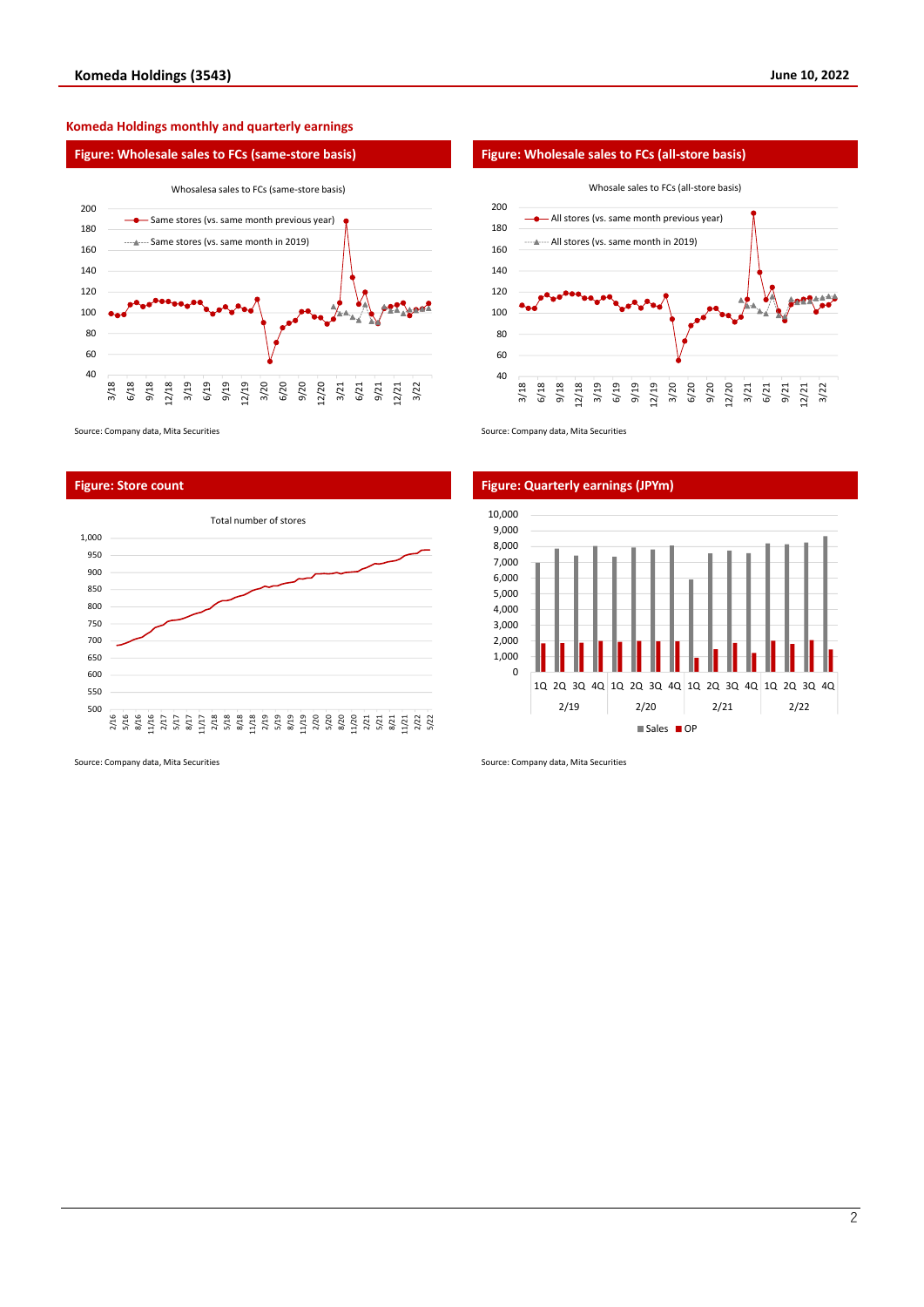#### **Komeda Holdings monthly and quarterly earnings**





Source: Company data, Mita Securities Source: Company data, Mita Securities Source: Company data, Mita Securities



**Figure: Store count Figure: Quarterly earnings (JPYm)**



Source: Company data, Mita Securities Source: Company data, Mita Securities Source: Company data, Mita Securities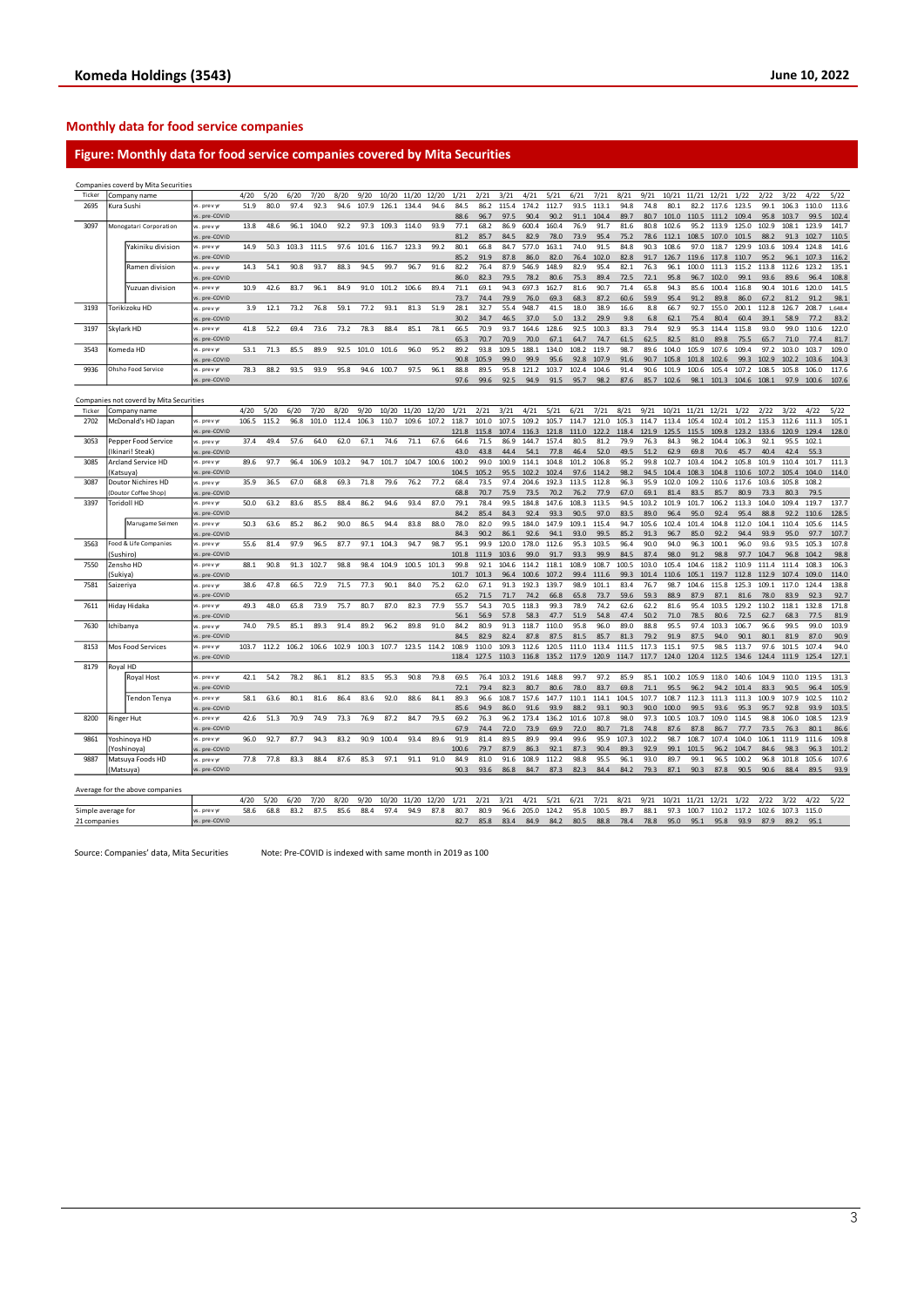#### **Monthly data for food service companies**

### **Figure: Monthly data for food service companies covered by Mita Securities**

|                                    |             | Companies coverd by Mita Securities     |                              |              |       |       |       |       |       |       |       |               |              |              |              |               |               |              |               |              |              |               |                |                |               |               |               |               |         |
|------------------------------------|-------------|-----------------------------------------|------------------------------|--------------|-------|-------|-------|-------|-------|-------|-------|---------------|--------------|--------------|--------------|---------------|---------------|--------------|---------------|--------------|--------------|---------------|----------------|----------------|---------------|---------------|---------------|---------------|---------|
| Ticker                             |             | Company name                            |                              | 4/20         | 5/20  | 6/20  | 7/20  | 8/20  | 9/20  | 10/20 | 11/20 | 12/20         | 1/21         | 2/21         | 3/21         | 4/21          | 5/21          | 6/21         | 7/21          | 8/21         | 9/21         | 10/21         | 11/21          | 12/21          | 1/22          | 2/22          | 3/22          | 4/22          | 5/22    |
| 2695                               | Kura Sushi  |                                         | s. prev vr                   | 51.9         | 80.0  | 97.4  | 92.3  | 94.6  | 107.9 | 126.1 | 134.4 | 94.6          | 84.5         | 86.2         | 115.4        | 174.2         | 112.7         | 93.5         | 113.1         | 94.8         | 74.8         | 80.1          | 82.2           | 117.6          | 123.5         | 99.1          | 106.3         | 110.0         | 113.6   |
|                                    |             |                                         | s. pre-COVID                 |              |       |       |       |       |       |       |       |               | 88.6         | 96.7         | 97.5         | 90.4          | 90.2          | 91.1         | 104.4         | 89.7         | 80.7         | 101.0         | 110.5          | 111.2          | 109.4         | 95.8          | 103.7         | 99.5          | 102.4   |
| 3097                               |             | Monogatari Corporation                  | vs. prev yr                  | 13.8         | 48.6  | 96.1  | 104.0 | 92.2  | 97.3  | 109.3 | 114.0 | 93.9          | 77.1         | 68.2         | 86.9         | 600.4         | 160.4         | 76.9         | 91.7          | 81.6         | 80.8         | 102.6         | 95.2           | 113.9          | 125.0         | 102.9         | 108.1         | 123.9         | 141.7   |
|                                    |             |                                         | vs. pre-COVID                |              |       |       |       |       |       |       |       |               | 81.2         | 85.7         | 84.5         | 82.9          | 78.0          | 73.9         | 95.4          | 75.2         | 78.6         | 112.1         | 108.5          | 107.0          | 101.5         | 88.2          | 91.3          | 102.7         | 110.5   |
|                                    |             | Yakiniku division                       | rs. prev yr                  | 14.9         | 50.3  | 103.3 | 111.5 | 97.6  | 101.6 | 116.7 | 123.3 | 99.2          | 80.1         | 66.8         | 84.7         | 577.0         | 163.1         | 74.0         | 91.5          | 84.8         | 90.3         | 108.6         | 97.0           | 118.7          | 129.9         | 103.6         | 109.4         | 124.8         | 141.6   |
|                                    |             |                                         | s. pre-COVID                 |              |       |       |       |       |       |       |       |               | 85.2         | 91.9         | 87.8         | 86.0          | 82.0          | 76.4         | 102.0         | 82.8         | 91.7         | 126.7         | 119.6          | 117.8          | 110.7         | 95.2          | 96.1          | 107.3         | 116.2   |
|                                    |             | Ramen division                          | vs. prev yr                  | 14.3         | 54.1  | 90.8  | 93.7  | 88.3  | 94.5  | 99.7  | 96.7  | 91.6          | 82.2         | 76.4         | 87.9         | 546.9         | 148.9         | 82.9         | 95.4          | 82.1         | 76.3         | 96.1          | 100.0          | 111.3          | 115.2         | 113.8         | 112.6         | 123.2         | 135.1   |
|                                    |             |                                         | vs. pre-COVID                |              |       |       |       |       |       |       |       |               | 86.0         | 82.3         | 79.5         | 78.2          | 80.6          | 75.3         | 89.4          | 72.5         | 72.1         | 95.8          | 96.7           | 102.0          | 99.1          | 93.6          | 89.6          | 96.4          | 108.8   |
|                                    |             | Yuzuan division                         | vs. prev yr                  | 10.9         | 42.6  | 83.7  | 96.1  | 84.9  | 91.0  | 101.2 | 106.6 | 89.4          | 71.1         | 69.1         | 94.3         | 697.3         | 162.7         | 81.6         | 90.7          | 71.4         | 65.8         | 94.3          | 85.6           | 100.4          | 116.8         | 90.4          | 101.6         | 120.0         | 141.5   |
|                                    |             |                                         | vs. pre-COVID                |              |       |       |       |       |       |       |       |               | 73.7         | 74.4         | 79.9         | 76.0          | 69.3          | 68.3         | 87.2          | 60.6         | 59.9         | 95.4          | 91.2           | 89.8           | 86.0          | 67.2          | 81.2          | 91.2          | 98.1    |
| 3193                               |             | Torikizoku HD                           | vs. prev vr                  | 3.9          | 12.1  | 73.2  | 76.8  | 59.1  | 77.2  | 93.1  | 81.3  | 51.9          | 28.1         | 32.7         | 55.4         | 948.7         | 41.5          | 18.0         | 38.9          | 16.6         | 8.8          | 66.7          | 92.7           | 155.0          | 200.1         | 112.8         | 126.7         | 208.7         | 1.648.4 |
|                                    |             |                                         | vs. pre-COVID                |              |       |       |       |       |       |       |       |               | 30.2         | 34.7         | 46.5         | 37.0          | 5.0           | 13.2         | 29.9          | 9.8          | 6.8          | 62.1          | 75.4           | 80.4           | 60.4          | 39.1          | 58.9          | 77.2          | 83.2    |
| 3197                               | Skylark HD  |                                         | s. prev y                    | 41.8         | 52.2  | 69.4  | 73.6  | 73.2  | 78.3  | 88.4  | 85.1  | 78.1          | 66.5         | 70.9         | 93.7         | 164.6         | 128.6         | 92.5         | 100.3         | 83.3         | 79.4         | 92.9          | 95.3           | 114.4          | 115.8         | 93.0          | 99.0          | 110.6         | 122.0   |
|                                    |             |                                         | s. pre-COVID                 |              |       |       |       |       |       |       |       |               | 65.3         | 70.7         | 70.9         | 70.0          | 67.1          | 64.7         | 74.7          | 61.5         | 62.5         | 82.5          | 81.0           | 89.8           | 75.5          | 65.7          | 71.0          | 77.4          | 81.7    |
| 3543                               |             | Komeda HD                               | vs. prev vr                  | 53.1         | 71.3  | 85.5  | 89.9  | 92.5  | 101.0 | 101.6 | 96.0  | 95.2          | 89.2         | 93.8         | 109.5        | 188.1         | 134.0         | 108.2        | 119.7         | 98.7         | 89.6         | 104.0         | 105.9          | 107.6          | 109.4         | 97.2          | 103.0         | 103.7         | 109.0   |
|                                    |             |                                         | s. pre-COVID                 |              |       |       |       |       |       |       |       |               | 90.8         | 105.9        | 99.0         | 99.9          | 95.6          | 92.8         | 107.9         | 91.6         | 90.7         | 105.8         | 101.8          | 102.6          | 99.3          | 102.9         | 102.2         | 103.6         | 104.3   |
| 9936                               |             | Ohsho Food Service                      | vs. prev yr                  | 78.3         | 88.2  | 93.5  | 93.9  | 95.8  | 94.6  | 100.7 | 97.5  | 96.1          | 88.8         | 89.5         | 95.8         | 121.2         | 103.7         | 102.4        | 104.6         | 91.4         | 90.6         | 101.9         | 100.6          | 105.4          | 107.2         | 108.5         | 105.8         | 106.0         | 117.6   |
|                                    |             |                                         | vs. pre-COVID                |              |       |       |       |       |       |       |       |               | 97.6         | 99.6         | 92.5         | 94.9          | 91.5          | 95.7         | 98.2          | 87.6         | 85.7         | 102.6         | 98.1           | 101.3          | 104.6 108.1   |               | 97.9          | 100.6         | 107.6   |
|                                    |             |                                         |                              |              |       |       |       |       |       |       |       |               |              |              |              |               |               |              |               |              |              |               |                |                |               |               |               |               |         |
|                                    |             | Companies not coverd by Mita Securities |                              |              |       |       |       |       |       |       |       |               |              |              |              |               |               |              |               |              |              |               |                |                |               |               |               |               |         |
| Ticker                             |             | Company name                            |                              | 4/20         | 5/20  | 6/20  | 7/20  | 8/20  | 9/20  | 10/20 | 11/20 | 12/20         | 1/21         | 2/21         | 3/21         | 4/21          | 5/21          | 6/21         | 7/21          | 8/21         | 9/21         | 10/21         | 11/21          | 12/21          | 1/22          | 2/22          | 3/22          | 4/22          | 5/22    |
| 2702                               |             | McDonald's HD Japan                     | s. prev vr                   | 106.5        | 115.2 | 96.8  | 101.0 | 112.4 | 106.3 | 110.7 | 109.6 | 107.2         | 118.7        | 101.0        | 107.5        | 109.2         | 105.7         | 114.7        | 121.0         | 105.3        | 114.7        | 113.4         | 105.4          | 102.4          | 101.2         | 115.3         | 112.6         | 111.3         | 105.1   |
|                                    |             |                                         | s. pre-COVID                 |              |       |       |       |       |       |       |       |               | 121.8        | 115.8        | 107.4        | 116.3         | 121.8         | 111.0        | 122.2         | 118.4        | 121.9        | 125.5         | 115.5          | 109.8          | 123.2         | 133.6         | 120.9         | 129.4         | 128.0   |
| 3053                               |             | Pepper Food Service                     | s. prev yr                   | 37.4         | 49.4  | 57.6  | 64.0  | 62.0  | 67.1  | 74.6  | 71.1  | 67.6          | 64.6         | 71.5         | 86.9         | 144.7         | 157.4         | 80.5         | 81.2          | 79.9         | 76.3         | 84.3          | 98.2           | 104.4          | 106.3         | 92.1          | 95.5          | 102.1         |         |
|                                    |             | (Ikinari! Steak)                        | s. pre-COVID                 |              |       |       |       |       |       |       |       |               | 43.0         | 43.8         | 44.4         | 54.1          | 77.8          | 46.4         | 52.0          | 49.5         | 51.2         | 62.9          | 69.8           | 70.6           | 45.7          | 40.4          | 42.4          | 55.3          |         |
| 3085                               |             | Arcland Service HD                      | s. prev yr                   | 89.6         | 97.7  | 96.4  | 106.9 | 103.2 | 94.7  | 101.7 | 104.7 | 100.6         | 100.2        | 99.0         | 100.9        | 114.1         | 104.8         | 101.2        | 106.8         | 95.2         | 99.8         | 102.7         | 103.4          | 104.2          | 105.8         | 101.9         | 110.4         | 101.7         | 111.3   |
|                                    | Katsuva     |                                         | s. pre-COVID                 |              |       |       |       |       |       |       |       |               | 104.5        | 105.2        | 95.5         | 102.2         | 102.4         | 97.6         | 114.2         | 98.2         | 94.5         | 104.4         | 108.3          | 104.8          | 110.6         | 107.2         | 105.4         | 104.0         | 114.0   |
| 3087                               |             | Doutor Nichires HD                      | vs. prev yr                  | 35.9         | 36.5  | 67.0  | 68.8  | 69.3  | 71.8  | 79.6  | 76.2  | 77.2          | 68.4         | 73.5         | 97.4         | 204.6         | 192.3         | 113.5        | 112.8         | 96.3         | 95.9         | 102.0         | 109.2          | 110.6          | 117.6         | 103.6         | 105.8         | 108.2         |         |
|                                    |             | Doutor Coffee Shop)                     | s. pre-COVID                 |              |       |       |       |       |       |       |       |               | 68.8         | 70.7         | 75.9         | 73.5          | 70.2          | 76.2         | 77.9          | 67.0         | 69.1         | 81.4          | 83.5           | 85.7           | 80.9          | 73.3          | 80.3          | 79.5          |         |
| 3397                               | Toridoll HD |                                         | s. prev yr                   | 50.0         | 63.2  | 83.6  | 85.5  | 88.4  | 86.2  | 94.6  | 93.4  | 87.0          | 79.1         | 78.4         | 99.5         | 184.8         | 147.6         | 108.3        | 113.5         | 94.5         | 103.2        | 101.9         | 101.7          | 106.2          | 113.3         | 104.0         | 109.4         | 119.7         | 137.7   |
|                                    |             |                                         | s. pre-COVID                 |              |       |       |       |       |       |       |       |               | 84.2         | 85.4         | 84.3         | 92.4          | 93.3          | 90.5         | 97.0          | 83.5         | 89.0         | 96.4          | 95.0           | 92.4           | 95.4          | 88.8          | 92.2          | 110.6         | 128.5   |
|                                    |             | Marugame Seimen                         | s, prev vr                   | 50.3         | 63.6  | 85.2  | 86.2  | 90.0  | 86.5  | 94.4  | 83.8  | 88.0          | 78.0         | 82.0         | 99.5         | 184.0         | 147.9         | 109.1        | 115.4         | 94.7         | 105.6        | 102.4         | 101.4          | 104.8          | 112.0         | 104.1         | 110.4         | 105.6         | 114.5   |
|                                    |             |                                         | s. pre-COVID                 |              |       |       |       |       |       |       |       |               | 84.3         | 90.2         | 86.1         | 92.6          | 94.1          | 93.0         | 99.5          | 85.2         | 91.3         | 96.7          | 85.0           | 92.2           | 94.4          | 93.9          | 95.0          | 97.7          | 107.7   |
| 3563                               |             | Food & Life Companies                   | s. prev yr                   | 55.6         | 81.4  | 97.9  | 96.5  | 87.7  | 97.1  | 104.3 | 94.7  | 98.7          | 95.1         | 99.9         | 120.0        | 178.0         | 112.6         | 95.3         | 103.5         | 96.4         | 90.0         | 94.0          | 96.3           | 100.1          | 96.0          | 93.6          | 93.5          | 105.3         | 107.8   |
|                                    | Sushirol    |                                         | s. pre-COVID                 |              |       |       |       |       |       |       |       |               | 101.8        | 111.9        | 103.6        | 99.0          | 91.7          | 93.3         | 99.9          | 84.5         | 87.4         | 98.0          | 91.2           | 98.8           | 97.7          | 104.7         | 96.8          | 104.2         | 98.8    |
| 7550                               | Zensho HD   |                                         | vs. prev vr                  | 88.1         | 90.8  | 91.3  | 102.7 | 98.8  | 98.4  | 104.9 | 100.5 | 101.3         | 99.8         | 92.1         | 104.6        | 114.2         | 118.1         | 108.9        | 108.7         | 100.5        | 103.0        | 105.4         | 104.6          | 118.2          | 110.9         | 111.4         | 111.4         | 108.3         | 106.3   |
|                                    | Sukival     |                                         | s. pre-COVID                 |              |       |       |       |       |       |       |       |               | 101.7        | 101.3        | 96.4         | 100.6         | 107.2         | 99.4         | 111.6         | 99.3         | 101.4        | 110.6         | 105.1          | 119.7          | 112.8         | 112.9         | 107.4         | 109.0         | 114.0   |
| 7581                               | Saizeriya   |                                         | s. prev yr                   | 38.6         | 47.8  | 66.5  | 72.9  | 71.5  | 77.3  | 90.1  | 84.0  | 75.2          | 62.0         | 67.1         | 91.3         | 192.3         | 139.7         | 98.9         | 101.1         | 83.4         | 76.7         | 98.7          | 104.6          | 115.8          | 125.3         | 109.1         | 117.0         | 124.4         | 138.8   |
|                                    |             |                                         | s. pre-COVID                 |              |       |       |       |       |       |       |       |               | 65.2         | 71.5         | 71.7         | 74.2          | 66.8          | 65.8         | 73.7          | 59.6         | 59.3         | 88.9          | 87.9           | 87.1           | 81.6          | 78.0          | 83.9          | 92.3          | 92.7    |
| 7611                               |             | Hiday Hidaka                            | s. prev yr                   | 49.3         | 48.0  | 65.8  | 73.9  | 75.7  | 80.7  | 87.0  | 82.3  | 77.9          | 55.7         | 54.3         | 70.5         | 118.3         | 99.3          | 78.9         | 74.2          | 62.6         | 62.2         | 81.6          | 95.4           | 103.5          | 129.2         | 110.2         | 118.1         | 132.8         | 171.8   |
|                                    |             |                                         | vs. pre-COVID                |              |       |       |       |       |       |       |       |               | 56.1         | 56.9         | 57.8         | 58.3          | 47.7          | 51.9         | 54.8          | 47.4         | 50.2         | 71.0          | 78.5           | 80.6           | 72.5          | 62.7          | 68.3          | 77.5          | 81.9    |
| 7630                               | Ichibanya   |                                         | s. prev y                    | 74.0         | 79.5  | 85.1  | 89.3  | 91.4  | 89.2  | 96.2  | 89.8  | 91.0          | 84.2         | 80.9         | 91.3         | 118.7         | 110.0         | 95.8         | 96.0          | 89.0         | 88.8         | 95.5          | 97.4           | 103.3          | 106.7         | 96.6          | 99.5          | 99.0          | 103.9   |
|                                    |             |                                         | s. pre-COVID                 |              |       |       |       |       |       |       |       |               | 84.5         | 82.9         | 82.4         | 87.8          | 87.5          | 81.5         | 85.7          | 81.3         | 79.2         | 91.9          | 87.5           | 94.0           | 90.1          | 80.1          | 81.9          | 87.0          | 90.9    |
| 8153                               |             | Mos Food Services                       | /s. prev vr                  | 103.7        | 112.2 | 106.2 | 106.6 | 102.9 | 100.3 | 107.7 | 123.5 | 114.2         | 108.9        | 110.0        | 109.3        | 112.6         | 120.5         | 111.0        | 113.4         | 111.5        | 117.3        | 115.1         | 97.5           | 98.5           | 113.7         | 97.6          | 101.5         | 107.4         | 94.0    |
|                                    |             |                                         | s. pre-COVID                 |              |       |       |       |       |       |       |       |               | 118.4        | 127.5        | 110.3        | 116.8         | 135.2         | 117.9        | 120.9         | 114.7        | 117.7        | 124.0         | 120.4          | 112.5          | 134.6         | 124.4         | 111.9         | 125.4         | 127.1   |
| 8179                               | Royal HD    |                                         |                              |              |       |       |       |       |       |       |       |               |              |              |              |               |               |              |               |              |              |               |                |                |               |               |               |               |         |
|                                    |             | Royal Host                              | s. prev yr                   | 42.1         | 54.2  | 78.2  | 86.1  | 81.2  | 83.5  | 95.3  | 90.8  | 79.8          | 69.5         | 76.4         | 103.2        | 191.6         | 148.8         | 99.7         | 97.2          | 85.9         | 85.1         | 100.2         | 105.9          | 118.0          | 140.6         | 104.9         | 110.0         | 119.5         | 131.3   |
|                                    |             |                                         | s. pre-COVID                 |              |       |       |       |       |       |       |       |               | 72.1         | 79.4         | 82.3         | 80.7          | 80.6          | 78.0         | 83.7          | 69.8         | 71.1         | 95.5          | 96.2           | 94.2           | 101.4         | 83.3          | 90.5          | 96.4          | 105.9   |
|                                    |             | <b>Tendon Tenya</b>                     | vs. prev yr                  | 58.1         | 63.6  | 80.1  | 81.6  | 86.4  | 83.6  | 92.0  | 88.6  | 84.1          | 89.3         | 96.6         | 108.7        | 157.6         | 147.7         | 110.1        | 114.1         | 104.5        | 107.7        | 108.7         | 112.3          | 111.3          | 111.3         | 100.9         | 107.9         | 102.5         | 110.2   |
|                                    |             |                                         | s. pre-COVID                 |              |       |       |       |       |       |       |       |               | 85.6         | 94.9         | 86.0         | 91.6          | 93.9          | 88.2         | 93.1          | 90.3         | 90.0         | 100.0         | 99.5           | 93.6           | 95.3          | 95.7          | 92.8          | 93.9          | 103.5   |
| 8200                               | Ringer Hut  |                                         | vs. prev yr                  | 42.6         | 51.3  | 70.9  | 74.9  | 73.3  | 76.9  | 87.2  | 84.7  | 79.5          | 69.2         | 76.3         | 96.2         | 173.4         | 136.2         | 101.6        | 107.8         | 98.0         | 97.3         | 100.5         | 103.7          | 109.0          | 114.5         | 98.8          | 106.0         | 108.5         | 123.9   |
|                                    |             |                                         | s. pre-COVID                 |              |       |       |       |       |       |       |       |               | 67.9         | 74.4         | 72.0         | 73.9          | 69.9          | 72.0         | 80.7          | 71.8         | 74.8         | 87.6          | 87.8           | 86.7           | 77.7          | 73.5          | 76.3          | 80.1          | 86.6    |
| 9861                               |             | Yoshinoya HD                            | s. prev yr                   | 96.0         | 92.7  | 87.7  | 94.3  | 83.2  | 90.9  | 100.4 | 93.4  | 89.6          | 91.9         | 81.4         | 89.5         | 89.9          | 99.4          | 99.6         | 95.9          | 107.3        | 102.2        | 98.7          | 108.7          | 107.4          | 104.0         | 106.1         | 111.9         | 111.6         | 109.8   |
|                                    |             | Yoshinoya]                              | s. pre-COVID                 |              |       |       |       |       |       |       |       |               | 100.6        | 79.7         | 87.9         | 86.3          | 92.1          | 87.3         | 90.4          | 89.3         | 92.9         | 99.1          | 101.5          | 96.2           | 104.7         | 84.6          | 98.3          | 96.3          | 101.2   |
| 9887                               |             | Matsuya Foods HD                        | s. prev y                    | 77.8         | 77.8  | 83.3  | 88.4  | 87.6  | 85.3  | 97.1  | 91.1  | 91.0          | 84.9         | 81.0         | 91.6         | 108.9         | 112.2         | 98.8         | 95.5          | 96.1         | 93.0         | 89.7          | 99.1           | 96.5           | 100.2         | 96.8          | 101.8         | 105.6         | 107.6   |
|                                    | Matsuya)    |                                         | vs. pre-COVID                |              |       |       |       |       |       |       |       |               | 90.3         | 93.6         | 86.8         | 84.7          | 87.3          | 82.3         | 84.4          | 84.2         | 79.3         | 87.1          | 90.3           | 87.8           | 90.5          | 90.6          | 88.4          | 89.5          | 93.9    |
|                                    |             |                                         |                              |              |       |       |       |       |       |       |       |               |              |              |              |               |               |              |               |              |              |               |                |                |               |               |               |               |         |
|                                    |             | Average for the above companies         |                              |              |       |       |       |       |       |       |       |               |              |              |              |               |               |              |               |              |              |               |                |                |               |               |               |               |         |
|                                    |             |                                         |                              | 4/20<br>58.6 | 5/20  | 6/20  | 7/20  | 8/20  | 9/20  | 10/20 | 11/20 | 12/20<br>87.8 | 1/21<br>80.7 | 2/21<br>80.9 | 3/21         | 4/21<br>205.0 | 5/21<br>124.2 | 6/21<br>95.8 | 7/21<br>100.5 | 8/21<br>89.7 | 9/21<br>88.1 | 10/21<br>97.3 | 11/21<br>100.7 | 12/21<br>110.2 | 1/22<br>117.2 | 2/22<br>102.6 | 3/22<br>107.3 | 4/22<br>115.0 | 5/22    |
| Simple average for<br>21 companies |             |                                         | vs. prev yr<br>vs. pre-COVID |              | 68.8  | 83.2  | 87.5  | 85.6  | 88.4  | 97.4  | 94.9  |               | 82.7         | 85.8         | 96.6<br>83.4 | 84.9          | 84.2          | 80.5         | 88.8          | 78.4         | 78.8         | 95.0          | 95.1           | 95.8           | 93.9          | 87.9          | 89.2          | 95.1          |         |
|                                    |             |                                         |                              |              |       |       |       |       |       |       |       |               |              |              |              |               |               |              |               |              |              |               |                |                |               |               |               |               |         |

Source: Companies' data, Mita Securities Note: Pre-COVID is indexed with same month in 2019 as 100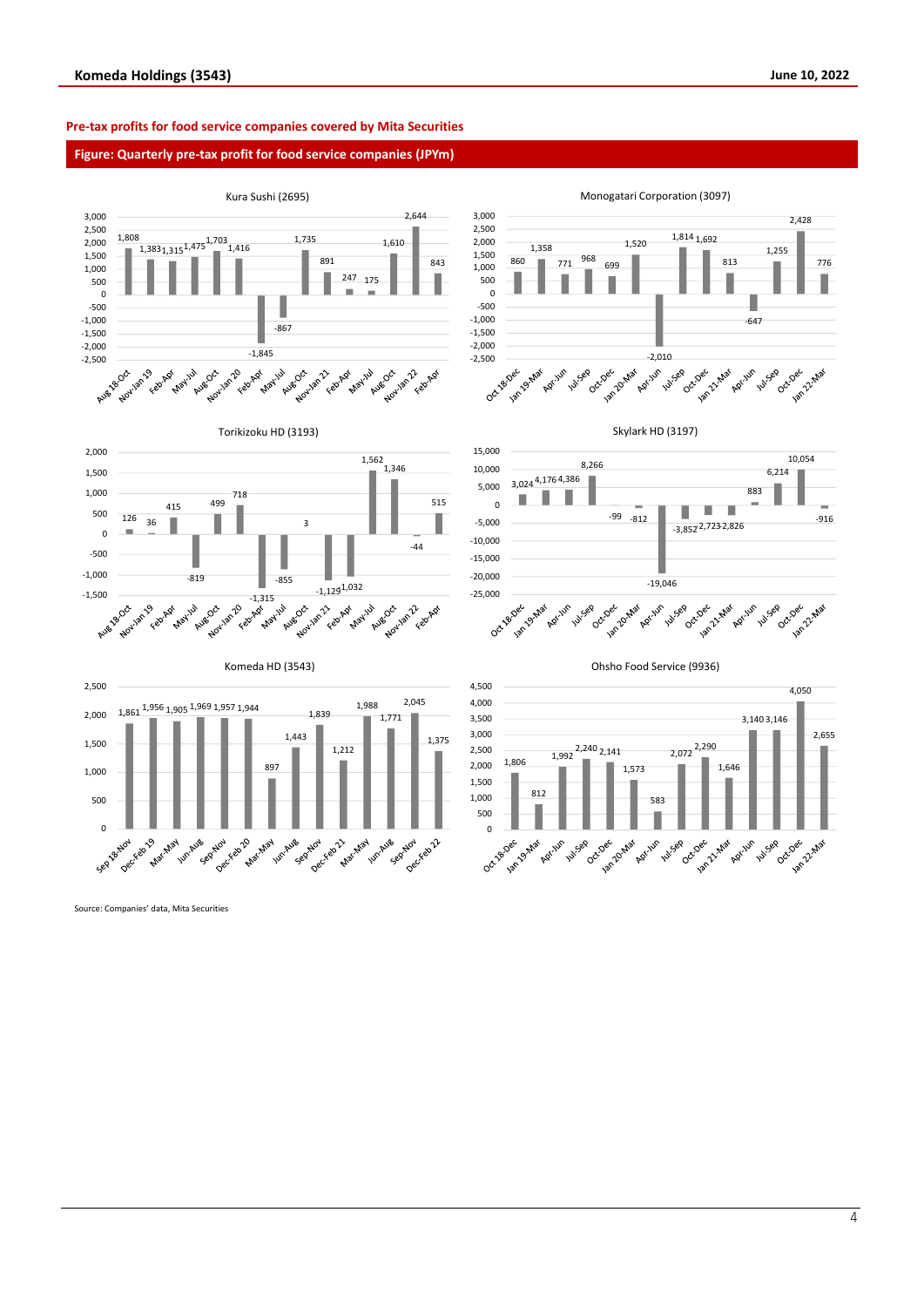#### **Pre-tax profits for food service companies covered by Mita Securities**

#### **Figure: Quarterly pre-tax profit for food service companies (JPYm)**



Source: Companies' data, Mita Securities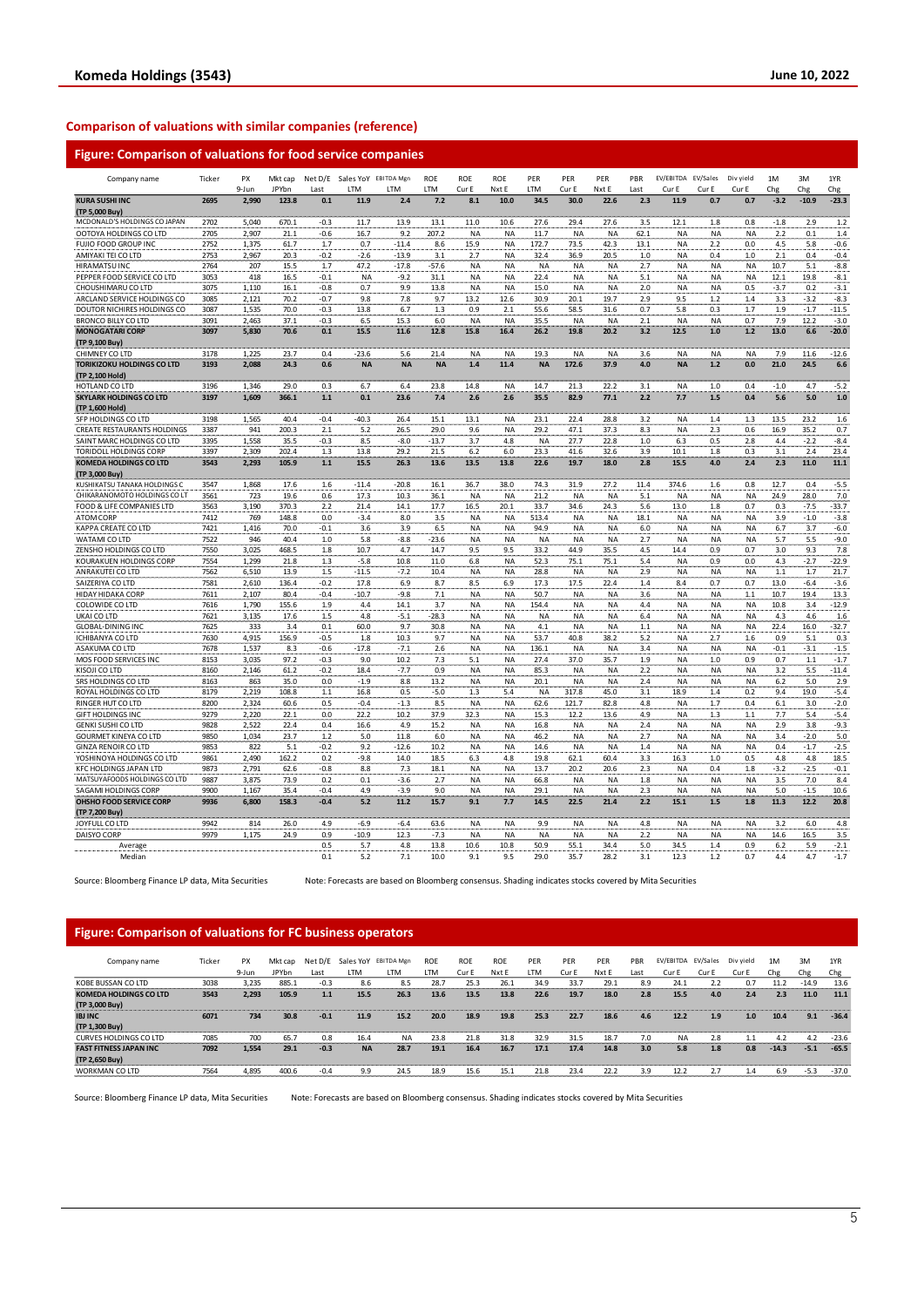### **Comparison of valuations with similar companies (reference)**

| Company name                                      | Ticker       | PX             | Mkt cap       |                | Net D/E Sales YoY EBITDA Mgn |                    | ROE        | <b>ROE</b>      | <b>ROE</b>      | PER           | PER                    | PER             | PBR           | EV/EBITDA EV/Sales     |                        | Div yield  | 1M             | 3M             | 1YR              |
|---------------------------------------------------|--------------|----------------|---------------|----------------|------------------------------|--------------------|------------|-----------------|-----------------|---------------|------------------------|-----------------|---------------|------------------------|------------------------|------------|----------------|----------------|------------------|
|                                                   |              | 9-Jun          | JPYbn         | Last           | LTM                          | <b>LTM</b>         | LTM        | Cur E           | Nxt E           | LTM           | Cur E                  | Nxt E           | Last          | Cur E                  | Cur E                  | Cur E      | Chg            | Chg            | Chg              |
| <b>KURA SUSHI INC</b>                             | 2695         | 2,990          | 123.8         | 0.1            | 11.9                         | 2.4                | 7.2        | 8.1             | 10.0            | 34.5          | 30.0                   | 22.6            | 2.3           | 11.9                   | 0.7                    | 0.7        | $-3.2$         | $-10.9$        | $-23.3$          |
| (TP 5,000 Buy)                                    |              |                |               |                |                              |                    |            |                 |                 |               |                        |                 |               |                        |                        |            |                |                |                  |
| MCDONALD'S HOLDINGS CO JAPAN                      | 2702         | 5.040          | 670.1         | $-0.3$         | 11.7                         | 13.9               | 13.1       | 11.0            | 10.6            | 27.6          | 29.4                   | 27.6            | 3.5           | 12.1                   | 1.8                    | 0.8        | $-1.8$         | 2.9            | 1.2              |
| OOTOYA HOLDINGS CO LTD                            | 2705         | 2,907          | 21.1          | $-0.6$         | 16.7                         | 9.2                | 207.2      | NA              | NA              | 11.7          | <b>NA</b>              | NA              | 62.1          | <b>NA</b>              | <b>NA</b>              | NA         | 2.2            | 0.1            | 1.4              |
| FUJIO FOOD GROUP INC<br>AMIYAKI TEI CO LTD        | 2752<br>2753 | 1,375<br>2,967 | 61.7<br>20.3  | 1.7<br>$-0.2$  | 0.7<br>$-2.6$                | $-11.4$<br>$-13.9$ | 8.6<br>3.1 | 15.9<br>2.7     | ΝA<br>NA        | 172.7<br>32.4 | 73.5<br>36.9           | 42.3<br>20.5    | 13.1<br>$1.0$ | <b>NA</b><br><b>NA</b> | 2.2<br>0.4             | 0.0<br>1.0 | 4.5<br>2.1     | 5.8<br>0.4     | $-0.6$<br>$-0.4$ |
| <b>HIRAMATSU INC</b>                              | 2764         | 207            | 15.5          | 1.7            | 47.2                         | $-17.8$            | -57.6      | ΝA              | ΝA              | <b>NA</b>     | NA                     | ΝA              | 2.7           | <b>NA</b>              | NA                     | <b>NA</b>  | 10.7           | 5.1            | $-8.8$           |
| PEPPER FOOD SERVICE CO LTD                        | 3053         | 418            | 16.5          | $-0.1$         | <b>NA</b>                    | $-9.2$             | 31.1       | <b>NA</b>       | <b>NA</b>       | 22.4          | <b>NA</b>              | <b>NA</b>       | 5.1           | <b>NA</b>              | <b>NA</b>              | <b>NA</b>  | 12.1           | 19.8           | $-8.1$           |
| CHOUSHIMARU CO LTD                                | 3075         | 1,110          | 16.1          | $-0.8$         | 0.7                          | 9.9                | 13.8       | NA              | ΝA              | 15.0          | <b>NA</b>              | NA              | 2.0           | <b>NA</b>              | <b>NA</b>              | 0.5        | $-3.7$         | 0.2            | $-3.1$           |
| ARCLAND SERVICE HOLDINGS CO                       | 3085         | 2,121          | 70.2          | $-0.7$         | 9.8                          | 7.8                | 9.7        | 13.2            | 12.6            | 30.9          | 20.1                   | 19.7            | 2.9           | 9.5                    | 1.2                    | 1.4        | 3.3            | $-3.2$         | $-8.3$           |
| DOUTOR NICHIRES HOLDINGS CO                       | 3087         | 1,535          | 70.0          | $-0.3$         | 13.8                         | 6.7                | 1.3        | 0.9             | 2.1             | 55.6          | 58.5                   | 31.6            | 0.7           | 5.8                    | 0.3                    | 1.7        | 1.9            | $-1.7$         | $-11.5$          |
| <b>BRONCO BILLY CO LTD</b>                        | 3091         | 2,463          | 37.1          | $-0.3$         | 6.5                          | 15.3               | 6.0        | NA              | NA              | 35.5          | <b>NA</b>              | <b>NA</b>       | 2.1           | <b>NA</b>              | <b>NA</b>              | 0.7        | 7.9            | 12.2           | $-3.0$           |
| <b>MONOGATARI CORP</b>                            | 3097         | 5,830          | 70.6          | 0.1            | 15.5                         | 11.6               | 12.8       | 15.8            | 16.4            | 26.2          | 19.8                   | 20.2            | 3.2           | 12.5                   | 1.0                    | 1.2        | 13.0           | 6.6            | $-20.0$          |
| (TP 9,100 Buy)                                    |              |                |               |                |                              |                    |            |                 |                 |               |                        |                 |               |                        |                        |            |                |                |                  |
| CHIMNEY CO LTD                                    | 3178         | 1.225          | 23.7          | 0.4            | $-23.6$                      | 5.6                | 21.4       | NA              | NA              | 19.3          | <b>NA</b>              | NA              | 3.6           | <b>NA</b>              | <b>NA</b>              | <b>NA</b>  | 7.9            | 11.6           | $-12.6$          |
| <b>TORIKIZOKU HOLDINGS CO LTD</b>                 | 3193         | 2,088          | 24.3          | 0.6            | <b>NA</b>                    | <b>NA</b>          | <b>NA</b>  | 1.4             | 11.4            | <b>NA</b>     | 172.6                  | 37.9            | 4.0           | <b>NA</b>              | $1.2$                  | 0.0        | 21.0           | 24.5           | 6.6              |
| (TP 2,100 Hold)                                   |              |                |               |                |                              |                    |            |                 |                 |               |                        |                 |               |                        |                        |            |                |                |                  |
| HOTLAND CO LTD                                    | 3196         | 1.346          | 29.0          | 0.3            | 6.7                          | 6.4                | 23.8       | 14.8            | <b>NA</b>       | 14.7          | 21.3                   | 22.2            | 3.1           | <b>NA</b>              | 1.0                    | 0.4        | $-1.0$         | 4.7            | $-5.2$           |
| <b>SKYLARK HOLDINGS CO LTD</b><br>(TP 1.600 Hold) | 3197         | 1,609          | 366.1         | $1.1$          | 0.1                          | 23.6               | 7.4        | 2.6             | 2.6             | 35.5          | 82.9                   | 77.1            | 2.2           | 7.7                    | 1.5                    | 0.4        | 5.6            | 5.0            | $1.0$            |
| SFP HOLDINGS CO LTD                               | 3198         | 1,565          | 40.4          | $-0.4$         | $-40.3$                      | 26.4               | 15.1       | 13.1            | <b>NA</b>       | 23.1          | 22.4                   | 28.8            | 3.2           | <b>NA</b>              | 1.4                    | 1.3        | 13.5           | 23.2           | 1.6              |
| CREATE RESTAURANTS HOLDINGS                       | 3387         | 941            | 200.3         | 2.1            | 5.2                          | 26.5               | 29.0       | 9.6             | NA              | 29.2          | 47.1                   | 37.3            | 8.3           | <b>NA</b>              | 2.3                    | 0.6        | 16.9           | 35.2           | 0.7              |
| SAINT MARC HOLDINGS CO LTD                        | 3395         | 1.558          | 35.5          | $-0.3$         | 8.5                          | $-8.0$             | $-13.7$    | 3.7             | 4.8             | <b>NA</b>     | 27.7                   | 22.8            | 1.0           | 6.3                    | 0.5                    | 2.8        | 4.4            | $-2.2$         | $-8.4$           |
| TORIDOLL HOLDINGS CORP                            | 3397         | 2,309          | 202.4         | 1.3            | 13.8                         | 29.2               | 21.5       | 6.2             | 6.0             | 23.3          | 41.6                   | 32.6            | 3.9           | 10.1                   | 1.8                    | 0.3        | 3.1            | 2.4            | 23.4             |
| <b>KOMEDA HOLDINGS CO LTD</b>                     | 3543         | 2,293          | 105.9         | 1.1            | 15.5                         | 26.3               | 13.6       | 13.5            | 13.8            | 22.6          | 19.7                   | 18.0            | 2.8           | 15.5                   | 4.0                    | 2.4        | 2.3            | 11.0           | 11.1             |
| (TP 3,000 Buy)                                    |              |                |               |                |                              |                    |            |                 |                 |               |                        |                 |               |                        |                        |            |                |                |                  |
| KUSHIKATSU TANAKA HOLDINGS C                      | 3547         | 1,868          | 17.6          | 1.6            | $-11.4$                      | $-20.8$            | 16.1       | 36.7            | 38.0            | 74.3          | 31.9                   | 27.2            | 11.4          | 374.6                  | 1.6                    | 0.8        | 12.7           | 0.4            | $-5.5$           |
| CHIKARANOMOTO HOLDINGS CO LT                      | 3561         | 723            | 19.6          | 0.6            | 17.3                         | 10.3               | 36.1       | <b>NA</b>       | <b>NA</b>       | 21.2          | <b>NA</b>              | <b>NA</b>       | 5.1           | <b>NA</b>              | <b>NA</b>              | <b>NA</b>  | 24.9           | 28.0           | 7.0              |
| FOOD & LIFE COMPANIES LTD                         | 3563         | 3,190          | 370.3         | 2.2            | 21.4                         | 14.1               | 17.7       | 16.5            | 20.1            | 33.7          | 34.6                   | 24.3            | 5.6           | 13.0                   | 1.8                    | 0.7        | 0.3            | $-7.5$         | $-33.7$          |
| ATOM CORP                                         | 7412         | 769            | 148.8         | 0.0            | $-3.4$                       | 8.0                | 3.5        | <b>NA</b>       | <b>NA</b>       | 513.4         | <b>NA</b>              | <b>NA</b>       | 18.1          | <b>NA</b>              | <b>NA</b>              | <b>NA</b>  | 3.9            | $-1.0$         | $-3.8$           |
| KAPPA CREATE CO LTD                               | 7421         | 1,416          | 70.0          | $-0.1$         | 3.6                          | 3.9                | 6.5        | <b>NA</b>       | NA              | 94.9          | <b>NA</b>              | <b>NA</b>       | 6.0           | <b>NA</b>              | <b>NA</b>              | <b>NA</b>  | 6.7            | 3.7            | $-6.0$           |
| WATAMI CO LTD                                     | 7522         | 946            | 40.4          | 1.0            | 5.8                          | -8.8               | $-23.6$    | NA              | NA              | <b>NA</b>     | <b>NA</b>              | <b>NA</b>       | 2.7           | <b>NA</b>              | <b>NA</b>              | <b>NA</b>  | 5.7            | 5.5            | $-9.0$           |
| ZENSHO HOLDINGS CO LTD                            | 7550         | 3.025          | 468.5         | 1.8            | 10.7                         | 4.7                | 14.7       | 9.5             | 9.5             | 33.2          | 44.9                   | 35.5            | 4.5           | 14.4                   | 0.9                    | 0.7        | 3.0            | 9.3            | 7.8              |
| KOURAKUEN HOLDINGS CORP                           | 7554         | 1,299          | 21.8          | 1.3            | $-5.8$                       | 10.8               | 11.0       | 6.8             | NA              | 52.3          | 75.1                   | 75.1            | 5.4           | <b>NA</b>              | 0.9                    | 0.0        | 4.3            | -2.7           | $-22.9$          |
| ANRAKUTEI CO LTD                                  | 7562         | 6,510          | 13.9          | 1.5            | $-11.5$                      | $-7.2$             | 10.4       | <b>NA</b>       | <b>NA</b>       | 28.8          | <b>NA</b>              | <b>NA</b>       | 2.9           | <b>NA</b>              | <b>NA</b>              | <b>NA</b>  | $1.1\,$        | 1.7            | 21.7             |
| SAIZERIYA CO LTD                                  | 7581<br>7611 | 2,610          | 136.4<br>80.4 | $-0.2$         | 17.8<br>$-10.7$              | 6.9                | 8.7        | 8.5             | 6.9             | 17.3          | 17.5                   | 22.4            | 1.4           | 8.4                    | 0.7                    | 0.7<br>1.1 | 13.0           | $-6.4$<br>19.4 | $-3.6$<br>13.3   |
| HIDAY HIDAKA CORP<br>COLOWIDE CO LTD              | 7616         | 2,107<br>1.790 | 155.6         | $-0.4$<br>1.9  | 4.4                          | -9.8<br>14.1       | 7.1<br>3.7 | NA<br><b>NA</b> | NA<br><b>NA</b> | 50.7<br>154.4 | <b>NA</b><br><b>NA</b> | NA<br><b>NA</b> | 3.6<br>4.4    | <b>NA</b><br><b>NA</b> | <b>NA</b><br><b>NA</b> | <b>NA</b>  | 10.7<br>10.8   | 3.4            | $-12.9$          |
| UKAI CO LTD                                       | 7621         | 3,135          | 17.6          | 1.5            | 4.8                          | $-5.1$             | $-28.3$    | <b>NA</b>       | ΝA              | NA            | <b>NA</b>              | NA              | 6.4           | NA                     | <b>NA</b>              | NA         | 4.3            | 4.6            | 1.6              |
| <b>GLOBAL-DINING INC</b>                          | 7625         | 333            | 3.4           | 0.1            | 60.0                         | 9.7                | 30.8       | NA              | <b>NA</b>       | 4.1           | <b>NA</b>              | <b>NA</b>       | $1.1\,$       | <b>NA</b>              | <b>NA</b>              | <b>NA</b>  | 22.4           | 16.0           | $-32.7$          |
| ICHIBANYA CO LTD                                  | 7630         | 4,915          | 156.9         | -0.5           | 1.8                          | 10.3               | 9.7        | NA              | NA              | 53.7          | 40.8                   | 38.2            | 5.2           | NA                     | 2.7                    | 1.6        | 0.9            | 5.1            | 0.3              |
| ASAKUMA CO LTD                                    | 7678         | 1,537          | 8.3           | -0.6           | $-17.8$                      | $-7.1$             | 2.6        | NA              | ΝA              | 136.1         | <b>NA</b>              | NA              | 3.4           | NA                     | <b>NA</b>              | NA         | $-0.1$         | $-3.1$         | $-1.5$           |
| MOS FOOD SERVICES INC                             | 8153         | 3,035          | 97.2          | $-0.3$         | 9.0                          | 10.2               | 7.3        | 5.1             | <b>NA</b>       | 27.4          | 37.0                   | 35.7            | 1.9           | <b>NA</b>              | 1.0                    | 0.9        | 0.7            | 1.1            | $-1.7$           |
| KISOJI CO LTD                                     | 8160         | 2,146          | 61.2          | $-0.2$         | 18.4                         | $-7.7$             | 0.9        | NA              | ΝA              | 85.3          | <b>NA</b>              | NA              | 2.2           | NA                     | <b>NA</b>              | NA         | 3.2            | 5.5            | $-11.4$          |
| SRS HOLDINGS CO LTD                               | 8163         | 863            | 35.0          | 0.0            | $-1.9$                       | 8.8                | 13.2       | <b>NA</b>       | <b>NA</b>       | 20.1          | <b>NA</b>              | NA              | 2.4           | <b>NA</b>              | <b>NA</b>              | <b>NA</b>  | 6.2            | 5.0            | 2.9              |
| ROYAL HOLDINGS CO LTD                             | 8179         | 2,219          | 108.8         | $1.1$          | 16.8                         | 0.5                | $-5.0$     | $1.3$           | 5.4             | NA            | 317.8                  | 45.0            | 3.1           | 18.9                   | $1.4\,$                | 0.2        | 9.4            | 19.0           | $-5.4$           |
| RINGER HUT CO LTD                                 | 8200         | 2,324          | 60.6          | 0.5            | $-0.4$                       | $-1.3$             | 8.5        | NA              | NA              | 62.6          | 121.7                  | 82.8            | 4.8           | <b>NA</b>              | 1.7                    | 0.4        | 6.1            | 3.0            | $-2.0$           |
| <b>GIFT HOLDINGS INC</b>                          | 9279         | 2,220          | 22.1          | 0.0            | 22.2                         | 10.2               | 37.9       | 32.3            | <b>NA</b>       | 15.3          | 12.2                   | 13.6            | 4.9           | <b>NA</b>              | 1.3                    | $1.1\,$    | 7.7            | 5.4            | $-5.4$           |
| GENKI SUSHI CO LTD                                | 9828         | 2,522          | 22.4          | 0.4            | 16.6                         | 4.9                | 15.2       | <b>NA</b>       | ΝA              | 16.8          | <b>NA</b>              | <b>NA</b>       | 2.4           | NA                     | <b>NA</b>              | <b>NA</b>  | 2.9            | 3.8            | $-9.3$           |
| GOURMET KINEYA CO LTD                             | 9850         | 1,034          | 23.7          | 1.2            | 5.0                          | 11.8               | 6.0        | <b>NA</b>       | <b>NA</b>       | 46.2          | <b>NA</b>              | <b>NA</b>       | 2.7           | <b>NA</b>              | <b>NA</b>              | <b>NA</b>  | 3.4            | $-2.0$         | 5.0              |
| <b>GINZA RENOIR CO LTD</b>                        | 9853         | 822            | 5.1           | $-0.2$         | 9.2                          | $-12.6$            | 10.2       | <b>NA</b>       | NA              | 14.6          | <b>NA</b>              | NA              | 1.4           | <b>NA</b>              | <b>NA</b>              | <b>NA</b>  | 0.4            | $-1.7$         | $-2.5$           |
| YOSHINOYA HOLDINGS CO LTD                         | 9861         | 2,490          | 162.2         | 0.2            | $-9.8$                       | 14.0               | 18.5       | 6.3             | 4.8             | 19.8          | 62.1                   | 60.4            | 3.3           | 16.3                   | 1.0                    | 0.5        | 4.8            | 4.8            | 18.5             |
| <b>KFC HOLDINGS JAPAN LTD</b>                     | 9873         | 2,791          | 62.6          | $-0.8$         | 8.8                          | 7.3                | 18.1       | NA              | <b>NA</b>       | 13.7          | 20.2                   | 20.6            | 2.3           | <b>NA</b>              | 0.4                    | 1.8        | $-3.2$         | $-2.5$         | $-0.1$           |
| MATSUYAFOODS HOLDINGS CO LTD                      | 9887         | 3,875          | 73.9          | 0.2            | 0.1                          | $-3.6$             | 2.7        | <b>NA</b>       | NA              | 66.8          | <b>NA</b>              | <b>NA</b>       | 1.8           | <b>NA</b>              | <b>NA</b>              | <b>NA</b>  | 3.5            | 7.0            | 8.4              |
| SAGAMI HOLDINGS CORP                              | 9900         | 1.167          | 35.4          | $-0.4$         | 4.9                          | $-3.9$             | 9.0        | <b>NA</b>       | <b>NA</b>       | 29.1          | <b>NA</b>              | <b>NA</b>       | 2.3           | <b>NA</b>              | <b>NA</b>              | <b>NA</b>  | 5.0            | $-1.5$         | 10.6             |
| OHSHO FOOD SERVICE CORP<br>(TP 7,200 Buy)         | 9936         | 6,800          | 158.3         | $-0.4$         | 5.2                          | 11.2               | 15.7       | 9.1             | 7.7             | 14.5          | 22.5                   | 21.4            | 2.2           | 15.1                   | $1.5\,$                | 1.8        | 11.3           | 12.2           | 20.8             |
| JOYFULL CO LTD                                    | 9942         | 814            | 26.0          | 4.9            | $-6.9$                       | $-6.4$             | 63.6       | NA              | NA              | 9.9           | <b>NA</b>              | NA              | 4.8           | <b>NA</b>              | <b>NA</b>              | <b>NA</b>  | 3.2            | 6.0            | 4.8              |
| DAISYO CORP                                       | 9979         | 1,175          | 24.9          | 0.9            | $-10.9$                      | 12.3               | $-7.3$     | <b>NA</b>       | ΝA              | NA            | <b>NA</b>              | ΝA              | 2.2           | <b>NA</b>              | <b>NA</b>              | NA         | 14.6           | 16.5           | 3.5              |
| Average                                           |              |                |               | 0.5            | 5.7                          | 4.8                | 13.8       | 10.6            | 10.8            | 50.9          | 55.1                   | 34.4            | 5.0           | 34.5                   | 1.4                    | 0.9        | 6.2            | 5.9            | $-2.1$           |
| Median                                            |              |                |               | 0 <sub>1</sub> | 52                           | 71                 | 100        | 9 <sub>1</sub>  | 95              | 29 O          | 357                    | 28.2            | 31            | 12.3                   | 1 2                    | 07         | 4 <sup>4</sup> | 47             | $-17$            |

Source: Bloomberg Finance LP data, Mita Securities Note: Forecasts are based on Bloomberg consensus. Shading indicates stocks covered by Mita Securities

#### **Figure: Comparison of valuations for FC business operators**

| Company name                  | Ticker | <b>PX</b><br>9-Jun | Mkt cap<br><b>JPYbn</b> | Net D/E<br>Last | I TM      | Sales YoY EBITDA Mgn<br>I TM | <b>ROE</b><br>LTM | <b>ROE</b><br>Cur E | <b>ROE</b><br>Nxt E | PER<br>LTM | PER<br>Cur E | PER<br>Nxt E | PBR<br>Last | EV/EBITDA EV/Sales<br>Cur E | Cur E | Div vield<br>Cur E | 1M<br>Che | 3M<br>Chg | 1YR<br>Chg |
|-------------------------------|--------|--------------------|-------------------------|-----------------|-----------|------------------------------|-------------------|---------------------|---------------------|------------|--------------|--------------|-------------|-----------------------------|-------|--------------------|-----------|-----------|------------|
| KOBE BUSSAN CO LTD            | 3038   | 3.235              | 885.1                   | $-0.3$          | 8.6       | 8.5                          | 28.7              | 25.3                | 26.1                | 34.9       | 33.7         | 29.1         | 8.9         | 24.1                        | 2.2   | 0.7                | 11.2      | $-14.9$   | 13.6       |
| <b>KOMEDA HOLDINGS CO LTD</b> | 3543   | 2.293              | 105.9                   | 1.1             | 15.5      | 26.3                         | 13.6              | 13.5                | 13.8                | 22.6       | 19.7         | 18.0         | 2.8         | 15.5                        | 4.0   | 2.4                | 2.3       | 11.0      | 11.1       |
| (TP 3,000 Buy)                |        |                    |                         |                 |           |                              |                   |                     |                     |            |              |              |             |                             |       |                    |           |           |            |
| <b>IBJ INC</b>                | 6071   | 734                | 30.8                    | $-0.1$          | 11.9      | 15.2                         | 20.0              | 18.9                | 19.8                | 25.3       | 22.7         | 18.6         | 4.6         | 12.2                        | 1.9   | 1.0                | 10.4      | 9.1       | $-36.4$    |
| (TP 1,300 Buy)                |        |                    |                         |                 |           |                              |                   |                     |                     |            |              |              |             |                             |       |                    |           |           |            |
| CURVES HOLDINGS CO LTD        | 7085   | 700                | 65.7                    | 0.8             | 16.4      | <b>NA</b>                    | 23.8              | 21.8                | 31.8                | 32.9       | 31.5         | 18.7         | 7.0         | <b>NA</b>                   | 2.8   |                    | 4.2       | 4.2       | $-23.6$    |
| <b>FAST FITNESS JAPAN INC</b> | 7092   | 1.554              | 29.1                    | $-0.3$          | <b>NA</b> | 28.7                         | 19.1              | 16.4                | 16.7                | 17.1       | 17.4         | 14.8         | 3.0         | 5.8                         | 1.8   | 0.8                | $-14.3$   | $-5.1$    | $-65.5$    |
| (TP 2,650 Buy)                |        |                    |                         |                 |           |                              |                   |                     |                     |            |              |              |             |                             |       |                    |           |           |            |
| <b>WORKMAN CO LTD</b>         | 7564   | 4.895              | 400.6                   | $-0.4$          | 9.9       | 24.5                         | 18.9              | 15.6                | 15.2                | 21.8       | 23.4         | 22.2         | 3.9         | 12.2                        | 2.7   | 1.4                | 6.9       | $-5.3$    | $-37.0$    |

Source: Bloomberg Finance LP data, Mita Securities Note: Forecasts are based on Bloomberg consensus. Shading indicates stocks covered by Mita Securities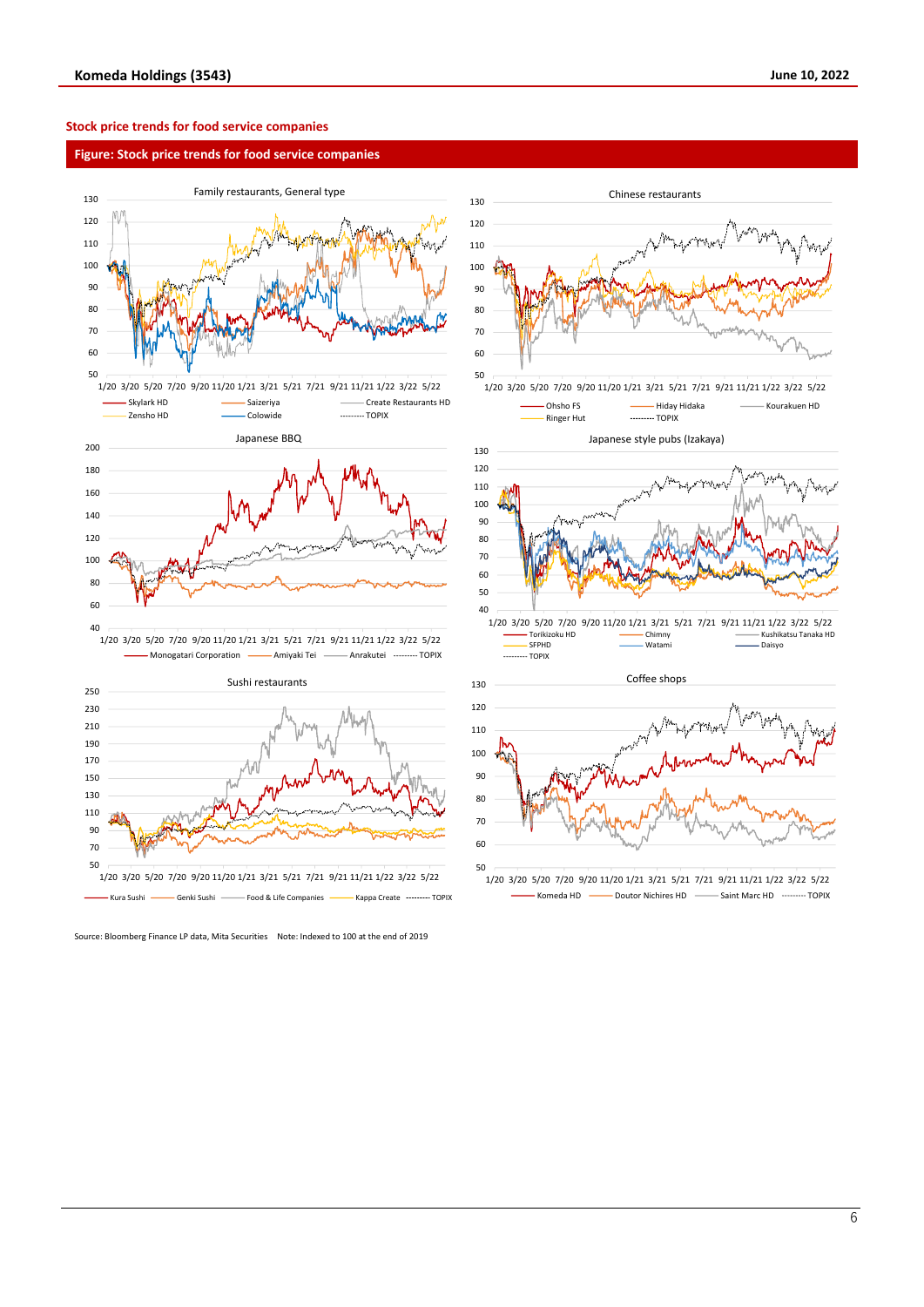#### **Stock price trends for food service companies**

#### **Figure: Stock price trends for food service companies**





Source: Bloomberg Finance LP data, Mita Securities Note: Indexed to 100 at the end of 2019



<sup>1/20</sup> 3/20 5/20 7/20 9/20 11/20 1/21 3/21 5/21 7/21 9/21 11/21 1/22 3/22 5/22 Komeda HD **- Doutor Nichires HD** - Saint Marc HD - Saint More TOPIX